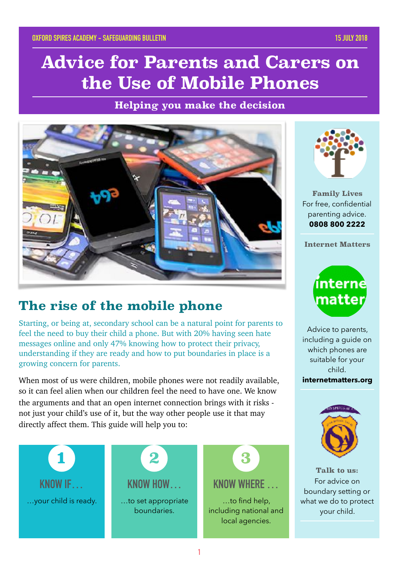# **Advice for Parents and Carers on the Use of Mobile Phones**

**Helping you make the decision**



# **The rise of the mobile phone**

Starting, or being at, secondary school can be a natural point for parents to feel the need to buy their child a phone. But with 20% having seen hate messages online and only 47% knowing how to protect their privacy, understanding if they are ready and how to put boundaries in place is a growing concern for parents.

When most of us were children, mobile phones were not readily available, so it can feel alien when our children feel the need to have one. We know the arguments and that an open internet connection brings with it risks not just your child's use of it, but the way other people use it that may directly affect them. This guide will help you to:





**Family Lives** For free, confidential parenting advice. **0808 800 2222**

**Internet Matters**



Advice to parents, including a guide on which phones are suitable for your child.

**internetmatters.org**



**Talk to us:** For advice on boundary setting or what we do to protect your child.